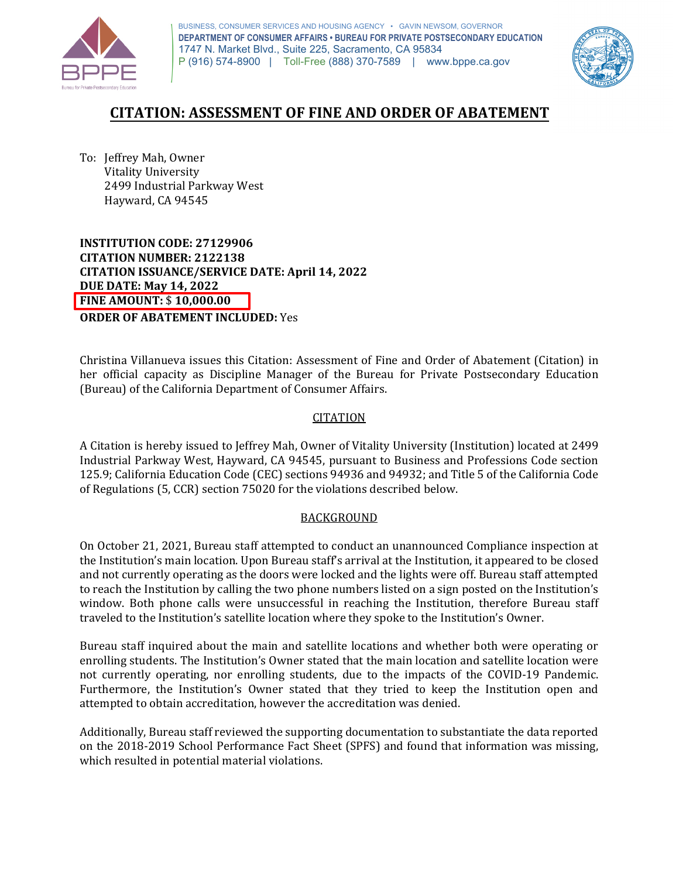

 P (916) 574-8900 | Toll-Free (888) 370-7589 | <www.bppe.ca.gov> BUSINESS, CONSUMER SERVICES AND HOUSING AGENCY • GAVIN NEWSOM, GOVERNOR **DEPARTMENT OF CONSUMER AFFAIRS • BUREAU FOR PRIVATE POSTSECONDARY EDUCATION**  1747 N. Market Blvd., Suite 225, Sacramento, CA 95834



# **CITATION: ASSESSMENT OF FINE AND ORDER OF ABATEMENT**

 To: Jeffrey Mah, Owner Hayward, CA 94545 Vitality University 2499 Industrial Parkway West

 **INSTITUTION CODE: 27129906 CITATION ISSUANCE/SERVICE DATE: April 14, 2022 CITATION NUMBER: 2122138 DUE DATE: May 14, 2022 FINE AMOUNT:** \$ **[10,000.00](https://10,000.00) ORDER OF ABATEMENT INCLUDED:** Yes

 Christina Villanueva issues this Citation: Assessment of Fine and Order of Abatement (Citation) in (Bureau) of the California Department of Consumer Affairs. her official capacity as Discipline Manager of the Bureau for Private Postsecondary Education

### CITATION

 Industrial Parkway West, Hayward, CA 94545, pursuant to Business and Professions Code section 125.9; California Education Code (CEC) sections 94936 and 94932; and Title 5 of the California Code of Regulations (5, CCR) section 75020 for the violations described below. A Citation is hereby issued to Jeffrey Mah, Owner of Vitality University (Institution) located at 2499

### BACKGROUND

 the Institution's main location. Upon Bureau staff's arrival at the Institution, it appeared to be closed and not currently operating as the doors were locked and the lights were off. Bureau staff attempted to reach the Institution by calling the two phone numbers listed on a sign posted on the Institution's traveled to the Institution's satellite location where they spoke to the Institution's Owner. On October 21, 2021, Bureau staff attempted to conduct an unannounced Compliance inspection at window. Both phone calls were unsuccessful in reaching the Institution, therefore Bureau staff

 attempted to obtain accreditation, however the accreditation was denied. Bureau staff inquired about the main and satellite locations and whether both were operating or enrolling students. The Institution's Owner stated that the main location and satellite location were not currently operating, nor enrolling students, due to the impacts of the COVID-19 Pandemic. Furthermore, the Institution's Owner stated that they tried to keep the Institution open and

 which resulted in potential material violations. Additionally, Bureau staff reviewed the supporting documentation to substantiate the data reported on the 2018-2019 School Performance Fact Sheet (SPFS) and found that information was missing,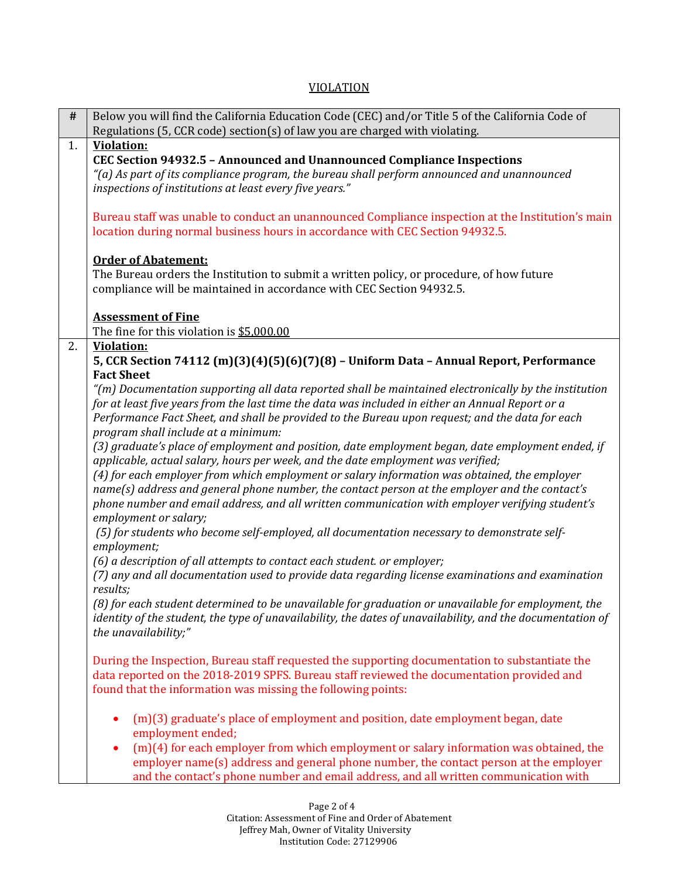### VIOLATION

| $\#$ | Below you will find the California Education Code (CEC) and/or Title 5 of the California Code of<br>Regulations (5, CCR code) section(s) of law you are charged with violating.                                                                                                                                                                                                                                                                                                                                     |  |
|------|---------------------------------------------------------------------------------------------------------------------------------------------------------------------------------------------------------------------------------------------------------------------------------------------------------------------------------------------------------------------------------------------------------------------------------------------------------------------------------------------------------------------|--|
| 1.   | <b>Violation:</b><br>CEC Section 94932.5 - Announced and Unannounced Compliance Inspections<br>"(a) As part of its compliance program, the bureau shall perform announced and unannounced<br>inspections of institutions at least every five years."                                                                                                                                                                                                                                                                |  |
|      | Bureau staff was unable to conduct an unannounced Compliance inspection at the Institution's main<br>location during normal business hours in accordance with CEC Section 94932.5.                                                                                                                                                                                                                                                                                                                                  |  |
|      | <b>Order of Abatement:</b><br>The Bureau orders the Institution to submit a written policy, or procedure, of how future<br>compliance will be maintained in accordance with CEC Section 94932.5.                                                                                                                                                                                                                                                                                                                    |  |
|      | <b>Assessment of Fine</b><br>The fine for this violation is \$5,000.00                                                                                                                                                                                                                                                                                                                                                                                                                                              |  |
| 2.   | <b>Violation:</b><br>5, CCR Section 74112 (m)(3)(4)(5)(6)(7)(8) - Uniform Data - Annual Report, Performance<br><b>Fact Sheet</b>                                                                                                                                                                                                                                                                                                                                                                                    |  |
|      | "(m) Documentation supporting all data reported shall be maintained electronically by the institution<br>for at least five years from the last time the data was included in either an Annual Report or a<br>Performance Fact Sheet, and shall be provided to the Bureau upon request; and the data for each<br>program shall include at a minimum:                                                                                                                                                                 |  |
|      | (3) graduate's place of employment and position, date employment began, date employment ended, if<br>applicable, actual salary, hours per week, and the date employment was verified;<br>(4) for each employer from which employment or salary information was obtained, the employer<br>name(s) address and general phone number, the contact person at the employer and the contact's<br>phone number and email address, and all written communication with employer verifying student's<br>employment or salary; |  |
|      | (5) for students who become self-employed, all documentation necessary to demonstrate self-<br>employment;                                                                                                                                                                                                                                                                                                                                                                                                          |  |
|      | (6) a description of all attempts to contact each student. or employer;<br>(7) any and all documentation used to provide data regarding license examinations and examination<br>results;                                                                                                                                                                                                                                                                                                                            |  |
|      | (8) for each student determined to be unavailable for graduation or unavailable for employment, the<br>identity of the student, the type of unavailability, the dates of unavailability, and the documentation of<br>the unavailability;"                                                                                                                                                                                                                                                                           |  |
|      | During the Inspection, Bureau staff requested the supporting documentation to substantiate the<br>data reported on the 2018-2019 SPFS. Bureau staff reviewed the documentation provided and<br>found that the information was missing the following points:                                                                                                                                                                                                                                                         |  |
|      | (m)(3) graduate's place of employment and position, date employment began, date<br>٠<br>employment ended;                                                                                                                                                                                                                                                                                                                                                                                                           |  |
|      | $(m)(4)$ for each employer from which employment or salary information was obtained, the<br>٠<br>employer name(s) address and general phone number, the contact person at the employer<br>and the contact's phone number and email address, and all written communication with                                                                                                                                                                                                                                      |  |

Page 2 of 4 Citation: Assessment of Fine and Order of Abatement Jeffrey Mah, Owner of Vitality University Institution Code: 27129906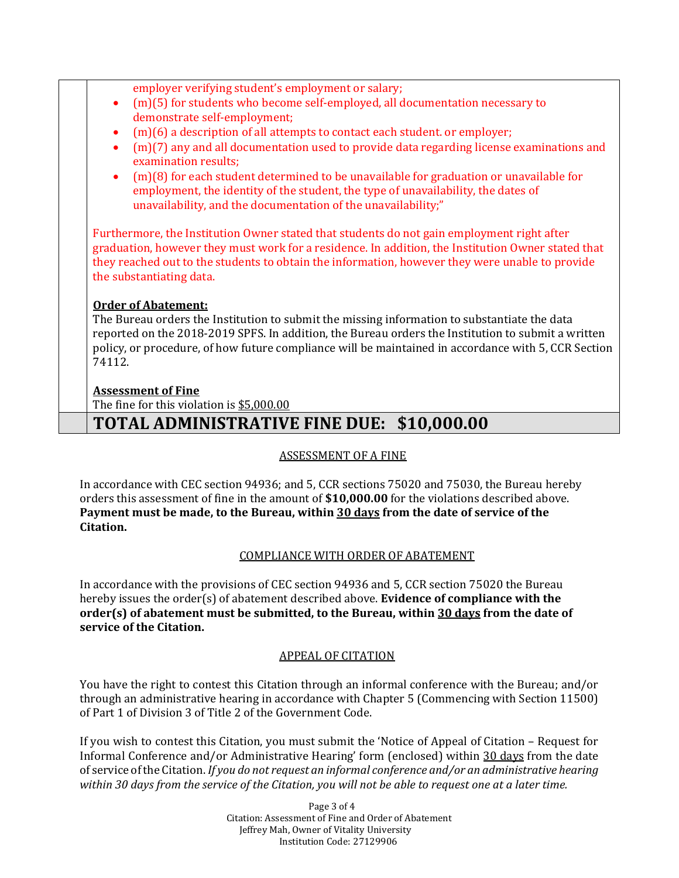|           | employer verifying student's employment or salary;                                                                          |
|-----------|-----------------------------------------------------------------------------------------------------------------------------|
| $\bullet$ | $(m)(5)$ for students who become self-employed, all documentation necessary to                                              |
|           | demonstrate self-employment;                                                                                                |
| $\bullet$ | (m)(6) a description of all attempts to contact each student. or employer;                                                  |
| $\bullet$ | $(m)(7)$ any and all documentation used to provide data regarding license examinations and                                  |
|           |                                                                                                                             |
|           | examination results;                                                                                                        |
| $\bullet$ | $(m)(8)$ for each student determined to be unavailable for graduation or unavailable for                                    |
|           | employment, the identity of the student, the type of unavailability, the dates of                                           |
|           | unavailability, and the documentation of the unavailability;"                                                               |
|           | they reached out to the students to obtain the information, however they were unable to provide<br>the substantiating data. |
|           | <b>Order of Abatement:</b>                                                                                                  |
|           | The Bureau orders the Institution to submit the missing information to substantiate the data                                |
|           |                                                                                                                             |
|           |                                                                                                                             |
| 74112.    | reported on the 2018-2019 SPFS. In addition, the Bureau orders the Institution to submit a written                          |
|           |                                                                                                                             |
|           |                                                                                                                             |
|           | policy, or procedure, of how future compliance will be maintained in accordance with 5, CCR Section                         |
|           | <b>Assessment of Fine</b><br>The fine for this violation is \$5,000.00                                                      |

# **TOTAL ADMINISTRATIVE FINE DUE: \$10,000.00**

## ASSESSMENT OF A FINE

 In accordance with CEC section 94936; and 5, CCR sections 75020 and 75030, the Bureau hereby orders this assessment of fine in the amount of **[\\$10,000.00](https://10,000.00)** for the violations described above.  **Payment must be made, to the Bureau, within 30 days from the date of service of the Citation.** 

# COMPLIANCE WITH ORDER OF ABATEMENT

 In accordance with the provisions of CEC section 94936 and 5, CCR section 75020 the Bureau hereby issues the order(s) of abatement described above. **Evidence of compliance with the order(s) of abatement must be submitted, to the Bureau, within 30 days from the date of service of the Citation.** 

### APPEAL OF CITATION

 You have the right to contest this Citation through an informal conference with the Bureau; and/or through an administrative hearing in accordance with Chapter 5 (Commencing with Section 11500) of Part 1 of Division 3 of Title 2 of the Government Code.

 If you wish to contest this Citation, you must submit the 'Notice of Appeal of Citation – Request for Informal Conference and/or Administrative Hearing' form (enclosed) within 30 days from the date  *within 30 days from the service of the Citation, you will not be able to request one at a later time.*  of service of the Citation. *If you do not request an informal conference and/or an administrative hearing* 

> Jeffrey Mah, Owner of Vitality University Page 3 of 4 Citation: Assessment of Fine and Order of Abatement Institution Code: 27129906